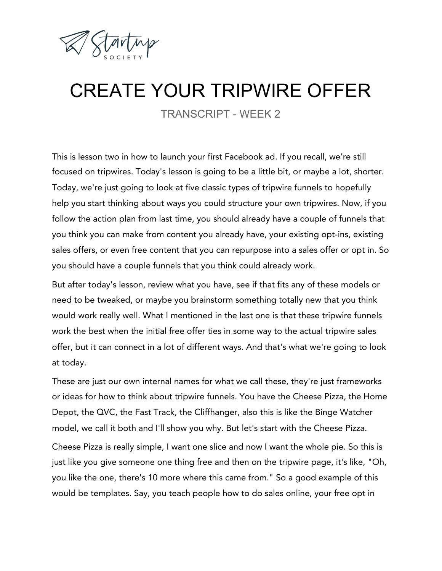

## CREATE YOUR TRIPWIRE OFFER

TRANSCRIPT - WEEK 2

This is lesson two in how to launch your first Facebook ad. If you recall, we're still focused on tripwires. Today's lesson is going to be a little bit, or maybe a lot, shorter. Today, we're just going to look at five classic types of tripwire funnels to hopefully help you start thinking about ways you could structure your own tripwires. Now, if you follow the action plan from last time, you should already have a couple of funnels that you think you can make from content you already have, your existing opt-ins, existing sales offers, or even free content that you can repurpose into a sales offer or opt in. So you should have a couple funnels that you think could already work.

But after today's lesson, review what you have, see if that fits any of these models or need to be tweaked, or maybe you brainstorm something totally new that you think would work really well. What I mentioned in the last one is that these tripwire funnels work the best when the initial free offer ties in some way to the actual tripwire sales offer, but it can connect in a lot of different ways. And that's what we're going to look at today.

These are just our own internal names for what we call these, they're just frameworks or ideas for how to think about tripwire funnels. You have the Cheese Pizza, the Home Depot, the QVC, the Fast Track, the Cliffhanger, also this is like the Binge Watcher model, we call it both and I'll show you why. But let's start with the Cheese Pizza.

Cheese Pizza is really simple, I want one slice and now I want the whole pie. So this is just like you give someone one thing free and then on the tripwire page, it's like, "Oh, you like the one, there's 10 more where this came from." So a good example of this would be templates. Say, you teach people how to do sales online, your free opt in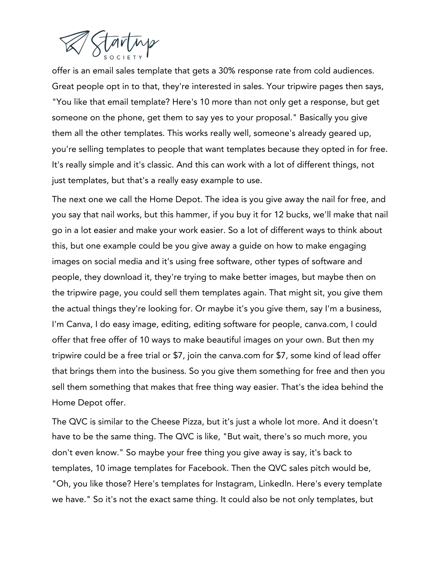

offer is an email sales template that gets a 30% response rate from cold audiences. Great people opt in to that, they're interested in sales. Your tripwire pages then says, "You like that email template? Here's 10 more than not only get a response, but get someone on the phone, get them to say yes to your proposal." Basically you give them all the other templates. This works really well, someone's already geared up, you're selling templates to people that want templates because they opted in for free. It's really simple and it's classic. And this can work with a lot of different things, not just templates, but that's a really easy example to use.

The next one we call the Home Depot. The idea is you give away the nail for free, and you say that nail works, but this hammer, if you buy it for 12 bucks, we'll make that nail go in a lot easier and make your work easier. So a lot of different ways to think about this, but one example could be you give away a guide on how to make engaging images on social media and it's using free software, other types of software and people, they download it, they're trying to make better images, but maybe then on the tripwire page, you could sell them templates again. That might sit, you give them the actual things they're looking for. Or maybe it's you give them, say I'm a business, I'm Canva, I do easy image, editing, editing software for people, canva.com, I could offer that free offer of 10 ways to make beautiful images on your own. But then my tripwire could be a free trial or \$7, join the canva.com for \$7, some kind of lead offer that brings them into the business. So you give them something for free and then you sell them something that makes that free thing way easier. That's the idea behind the Home Depot offer.

The QVC is similar to the Cheese Pizza, but it's just a whole lot more. And it doesn't have to be the same thing. The QVC is like, "But wait, there's so much more, you don't even know." So maybe your free thing you give away is say, it's back to templates, 10 image templates for Facebook. Then the QVC sales pitch would be, "Oh, you like those? Here's templates for Instagram, LinkedIn. Here's every template we have." So it's not the exact same thing. It could also be not only templates, but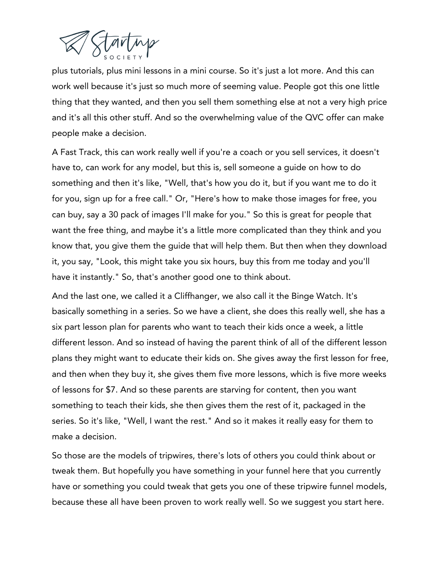

plus tutorials, plus mini lessons in a mini course. So it's just a lot more. And this can work well because it's just so much more of seeming value. People got this one little thing that they wanted, and then you sell them something else at not a very high price and it's all this other stuff. And so the overwhelming value of the QVC offer can make people make a decision.

A Fast Track, this can work really well if you're a coach or you sell services, it doesn't have to, can work for any model, but this is, sell someone a guide on how to do something and then it's like, "Well, that's how you do it, but if you want me to do it for you, sign up for a free call." Or, "Here's how to make those images for free, you can buy, say a 30 pack of images I'll make for you." So this is great for people that want the free thing, and maybe it's a little more complicated than they think and you know that, you give them the guide that will help them. But then when they download it, you say, "Look, this might take you six hours, buy this from me today and you'll have it instantly." So, that's another good one to think about.

And the last one, we called it a Cliffhanger, we also call it the Binge Watch. It's basically something in a series. So we have a client, she does this really well, she has a six part lesson plan for parents who want to teach their kids once a week, a little different lesson. And so instead of having the parent think of all of the different lesson plans they might want to educate their kids on. She gives away the first lesson for free, and then when they buy it, she gives them five more lessons, which is five more weeks of lessons for \$7. And so these parents are starving for content, then you want something to teach their kids, she then gives them the rest of it, packaged in the series. So it's like, "Well, I want the rest." And so it makes it really easy for them to make a decision.

So those are the models of tripwires, there's lots of others you could think about or tweak them. But hopefully you have something in your funnel here that you currently have or something you could tweak that gets you one of these tripwire funnel models, because these all have been proven to work really well. So we suggest you start here.